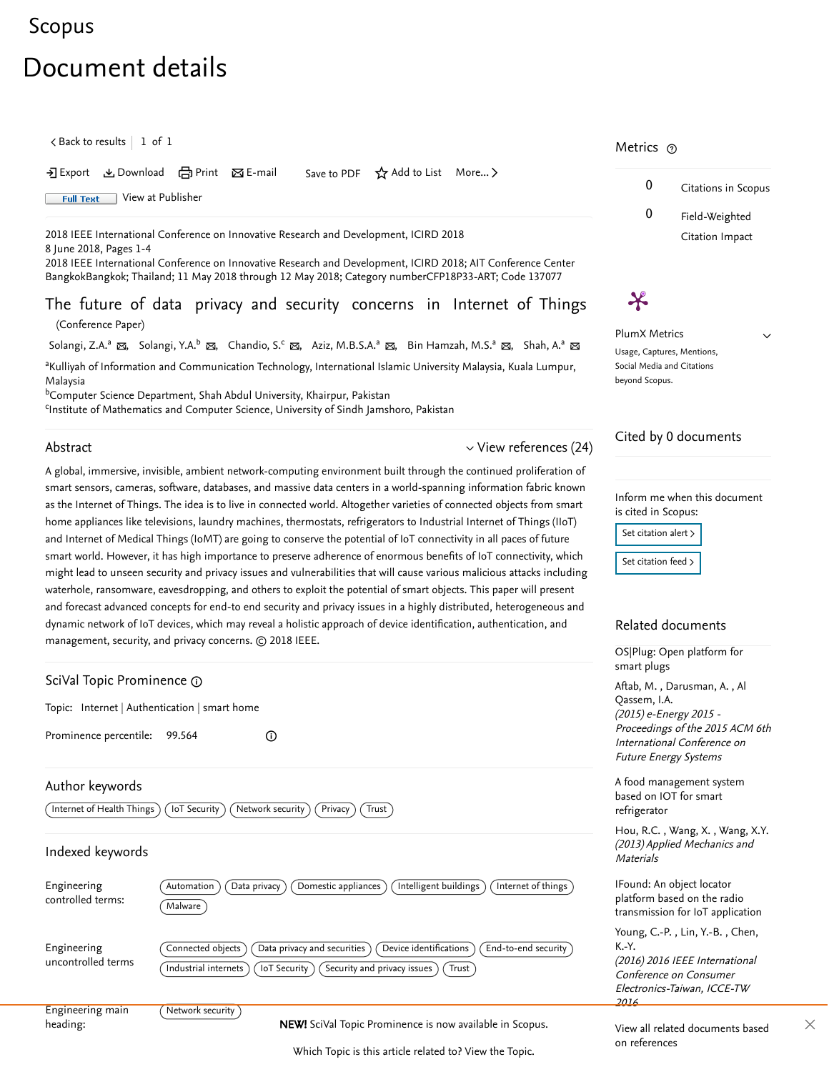## <span id="page-0-1"></span>[Scopus](https://www.scopus.com/home.uri?zone=header&origin=searchbasic)

# Document details

 $\zeta$  [Back to results](https://www.scopus.com/results/results.uri?sort=plf-f&src=s&st1=The+future+of+data+privacy+and+security+concerns+in+Internet+of+Things&st2=&sid=70b8b83896b740b7c0cb3caf6dfe3a1d&sot=b&sdt=b&sl=77&s=TITLE%28The+future+of+data+privacy+and+security+concerns+in+Internet+of+Things%29&offset=1&origin=recordpage)  $\vert$   $\,$  1 of  $\,$  1  $\,$ 

→ Export と Download ( Print 区 E-mail Save to PDF ☆ Add to List More... >

**Full Text** [View at Publisher](https://www.scopus.com/redirect/linking.uri?targetURL=https%3a%2f%2fdoi.org%2f10.1109%2fICIRD.2018.8376320&locationID=1&categoryID=4&eid=2-s2.0-85049900931&issn=&linkType=ViewAtPublisher&year=2018&origin=recordpage&dig=6b16a9700e686f35fa8240e24482f682&recordRank=)

2018 IEEE International Conference on Innovative Research and Development, ICIRD 2018 8 June 2018, Pages 1-4

2018 IEEE International Conference on Innovative Research and Development, ICIRD 2018; AIT Conference Center BangkokBangkok; Thailand; 11 May 2018 through 12 May 2018; Category numberCFP18P33-ART; Code 137077

The future of data privacy and security concerns in Internet of Things (Conference Paper)

[Solangi, Z.A.](https://www.scopus.com/authid/detail.uri?authorId=57201122705&eid=2-s2.0-85049900931)ª  $_\Xi$ , [Solangi, Y.A.](https://www.scopus.com/authid/detail.uri?authorId=57202940775&eid=2-s2.0-85049900931) $^{\rm b}$   $_\Xi$ , [Chandio, S.](https://www.scopus.com/authid/detail.uri?authorId=57193333103&eid=2-s2.0-85049900931) $^{\rm c}$   $_\Xi$ , [Aziz, M.B.S.A.](https://www.scopus.com/authid/detail.uri?authorId=57040527700&eid=2-s2.0-85049900931)ª  $_\Xi$ , [Bin Hamzah, M.S.](https://www.scopus.com/authid/detail.uri?authorId=57202949092&eid=2-s2.0-85049900931)ª  $_\Xi$ , [Shah, A.](https://www.scopus.com/authid/detail.uri?authorId=43061470400&eid=2-s2.0-85049900931)ª  $_\Xi$ 

<sup>a</sup>Kulliyah of Information and Communication Technology, International Islamic University Malaysia, Kuala Lumpur, Malaysia

<sup>b</sup>Computer Science Department, Shah Abdul University, Khairpur, Pakistan

<sup>c</sup>Institute of Mathematics and Computer Science, University of Sindh Jamshoro, Pakistan

## Abstract

### $\vee$  [View references \(24\)](#page-1-0)

A global, immersive, invisible, ambient network-computing environment built through the continued proliferation of smart sensors, cameras, software, databases, and massive data centers in a world-spanning information fabric known as the Internet of Things. The idea is to live in connected world. Altogether varieties of connected objects from smart home appliances like televisions, laundry machines, thermostats, refrigerators to Industrial Internet of Things (IIoT) and Internet of Medical Things (IoMT) are going to conserve the potential of IoT connectivity in all paces of future smart world. However, it has high importance to preserve adherence of enormous benefits of IoT connectivity, which might lead to unseen security and privacy issues and vulnerabilities that will cause various malicious attacks including waterhole, ransomware, eavesdropping, and others to exploit the potential of smart objects. This paper will present and forecast advanced concepts for end-to end security and privacy issues in a highly distributed, heterogeneous and dynamic network of IoT devices, which may reveal a holistic approach of device identification, authentication, and management, security, and privacy concerns. © 2018 IEEE.

<span id="page-0-0"></span>

| SciVal Topic Prominence 1                     |                                                                                                                                                                                   |
|-----------------------------------------------|-----------------------------------------------------------------------------------------------------------------------------------------------------------------------------------|
| Topic: Internet   Authentication   smart home |                                                                                                                                                                                   |
| Prominence percentile:                        | 99.564<br>(i)                                                                                                                                                                     |
| Author keywords<br>Internet of Health Things  | loT Security<br>Network security<br>Privacy<br>Trust                                                                                                                              |
| Indexed keywords                              |                                                                                                                                                                                   |
| Engineering<br>controlled terms:              | Intelligent buildings<br>Data privacy<br>Domestic appliances<br>Automation<br>Internet of things<br>Malware                                                                       |
| Engineering<br>uncontrolled terms             | Connected objects<br>Device identifications<br>End-to-end security<br>Data privacy and securities<br>Industrial internets<br>loT Security<br>Security and privacy issues<br>Trust |
| Engineering main<br>heading:                  | Network security )<br><b>NEW!</b> SciVal Topic Prominence is now available in Scopus.                                                                                             |

Which Topic is this article related to? [View the Topic.](#page-0-0)

## Metrics  $\, \circ \,$



 $\checkmark$ 

PlumX Metrics Usage, Captures, Mentions, Social Media and Citations

beyond Scopus.

 $\boldsymbol{\varkappa}$ 

## Cited by 0 documents

Inform me when this document is cited in Scopus:

Set citation alert >

[Set citation feed](https://www.scopus.com/results/rss/handler.uri?citeEid=2-s2.0-85049900931) >

### Related documents

[OS|Plug: Open platform for](https://www.scopus.com/record/display.uri?origin=recordpage&zone=relatedDocuments&eid=2-s2.0-84961262462&citeCnt=0&noHighlight=false&sort=plf-f&src=s&st1=The+future+of+data+privacy+and+security+concerns+in+Internet+of+Things&st2=&sid=70b8b83896b740b7c0cb3caf6dfe3a1d&sot=b&sdt=b&sl=77&s=TITLE%28The+future+of+data+privacy+and+security+concerns+in+Internet+of+Things%29&relpos=0) smart plugs

[Aftab, M.](https://www.scopus.com/authid/detail.uri?origin=recordpage&authorId=35184841100&zone=relatedDocuments) , Darusman, A. , Al (2015) e-Energy 2015 - Proceedings of the 2015 ACM 6th International Conference on Future Energy Systems Qassem, I.A.

[A food management system](https://www.scopus.com/record/display.uri?origin=recordpage&zone=relatedDocuments&eid=2-s2.0-84886396166&citeCnt=0&noHighlight=false&sort=plf-f&src=s&st1=The+future+of+data+privacy+and+security+concerns+in+Internet+of+Things&st2=&sid=70b8b83896b740b7c0cb3caf6dfe3a1d&sot=b&sdt=b&sl=77&s=TITLE%28The+future+of+data+privacy+and+security+concerns+in+Internet+of+Things%29&relpos=1) based on IOT for smart refrigerator

Hou,R.C. , Wang, X. , [Wang, X.Y.](https://www.scopus.com/authid/detail.uri?origin=recordpage&authorId=56048943600&zone=relatedDocuments) (2013) Applied Mechanics and **Materials** 

IFound: An object locator platform based on the radio [transmission for IoT application](https://www.scopus.com/record/display.uri?origin=recordpage&zone=relatedDocuments&eid=2-s2.0-84983535205&citeCnt=0&noHighlight=false&sort=plf-f&src=s&st1=The+future+of+data+privacy+and+security+concerns+in+Internet+of+Things&st2=&sid=70b8b83896b740b7c0cb3caf6dfe3a1d&sot=b&sdt=b&sl=77&s=TITLE%28The+future+of+data+privacy+and+security+concerns+in+Internet+of+Things%29&relpos=2)

[Young, C.-P.](https://www.scopus.com/authid/detail.uri?origin=recordpage&authorId=16403645900&zone=relatedDocuments) , Lin, Y.-B. , Chen, (2016) 2016 IEEE International Conference on Consumer Electronics-Taiwan, ICCE-TW 2016 K.-Y.

[View all related documents based](https://www.scopus.com/search/submit/mlt.uri?eid=2-s2.0-85049900931&src=s&all=true&origin=recordpage&method=ref&zone=relatedDocuments)

on references

×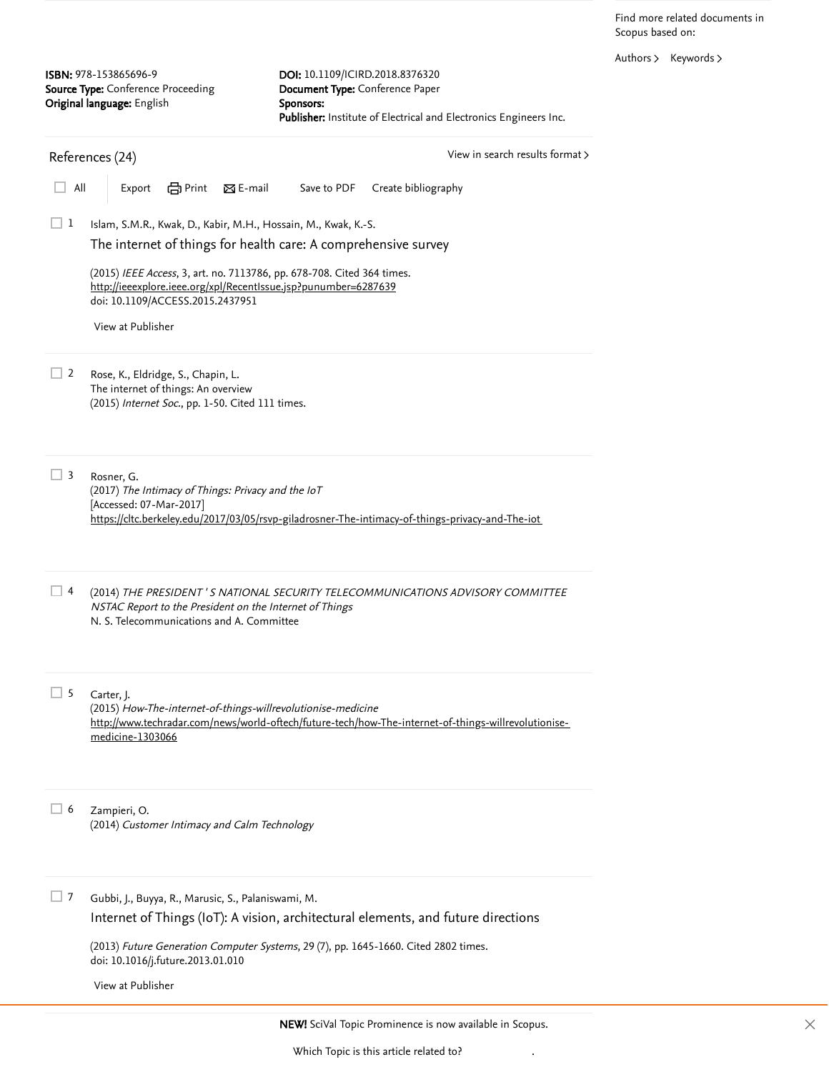Find more related documents in Scopus based on:

[Authors](https://www.scopus.com/search/submit/mlt.uri?eid=2-s2.0-85049900931&src=s&all=true&origin=recordpage&method=aut&zone=relatedDocuments) > [Keywords](https://www.scopus.com/search/submit/mlt.uri?eid=2-s2.0-85049900931&src=s&all=true&origin=recordpage&method=key&zone=relatedDocuments) >

<span id="page-1-0"></span>

| <b>ISBN:</b> 978-153865696-9<br>Source Type: Conference Proceeding<br>Original language: English |                                                                                                                                                                                                                                                                                                                                        | DOI: 10.1109/ICIRD.2018.8376320<br>Document Type: Conference Paper<br>Sponsors:<br>Publisher: Institute of Electrical and Electronics Engineers Inc. |  |
|--------------------------------------------------------------------------------------------------|----------------------------------------------------------------------------------------------------------------------------------------------------------------------------------------------------------------------------------------------------------------------------------------------------------------------------------------|------------------------------------------------------------------------------------------------------------------------------------------------------|--|
| View in search results format ><br>References (24)                                               |                                                                                                                                                                                                                                                                                                                                        |                                                                                                                                                      |  |
| All                                                                                              | <b>合</b> Print<br>$\boxtimes$ E-mail<br>Export                                                                                                                                                                                                                                                                                         | Save to PDF<br>Create bibliography                                                                                                                   |  |
| 1                                                                                                | Islam, S.M.R., Kwak, D., Kabir, M.H., Hossain, M., Kwak, K.-S.<br>The internet of things for health care: A comprehensive survey<br>(2015) IEEE Access, 3, art. no. 7113786, pp. 678-708. Cited 364 times.<br>http://ieeexplore.ieee.org/xpl/RecentIssue.jsp?punumber=6287639<br>doi: 10.1109/ACCESS.2015.2437951<br>View at Publisher |                                                                                                                                                      |  |
| 2                                                                                                | Rose, K., Eldridge, S., Chapin, L.<br>The internet of things: An overview<br>(2015) Internet Soc., pp. 1-50. Cited 111 times.                                                                                                                                                                                                          |                                                                                                                                                      |  |
| $\exists$ 3                                                                                      | Rosner, G.<br>(2017) The Intimacy of Things: Privacy and the IoT<br>[Accessed: 07-Mar-2017]<br>https://cltc.berkeley.edu/2017/03/05/rsvp-giladrosner-The-intimacy-of-things-privacy-and-The-iot                                                                                                                                        |                                                                                                                                                      |  |
| $\perp$                                                                                          | (2014) THE PRESIDENT'S NATIONAL SECURITY TELECOMMUNICATIONS ADVISORY COMMITTEE<br>NSTAC Report to the President on the Internet of Things<br>N. S. Telecommunications and A. Committee                                                                                                                                                 |                                                                                                                                                      |  |
| 5                                                                                                | Carter, J.<br>(2015) How-The-internet-of-things-willrevolutionise-medicine<br>http://www.techradar.com/news/world-oftech/future-tech/how-The-internet-of-things-willrevolutionise-<br>medicine-1303066                                                                                                                                 |                                                                                                                                                      |  |
| $\perp$ 6                                                                                        | Zampieri, O.<br>(2014) Customer Intimacy and Calm Technology                                                                                                                                                                                                                                                                           |                                                                                                                                                      |  |
| 7                                                                                                | Gubbi, J., Buyya, R., Marusic, S., Palaniswami, M.                                                                                                                                                                                                                                                                                     | Internet of Things (IoT): A vision, architectural elements, and future directions                                                                    |  |
|                                                                                                  | doi: 10.1016/j.future.2013.01.010                                                                                                                                                                                                                                                                                                      | (2013) Future Generation Computer Systems, 29 (7), pp. 1645-1660. Cited 2802 times.                                                                  |  |

[View at Publisher](https://www.scopus.com/redirect/linking.uri?targetURL=https%3a%2f%2fdoi.org%2f10.1016%2fj.future.2013.01.010&locationID=3&categoryID=4&eid=2-s2.0-84876943063&issn=0167739X&linkType=ViewAtPublisher&year=2013&origin=reflist&dig=baa61c7fb72517e966b291324d667f7c&recordRank=)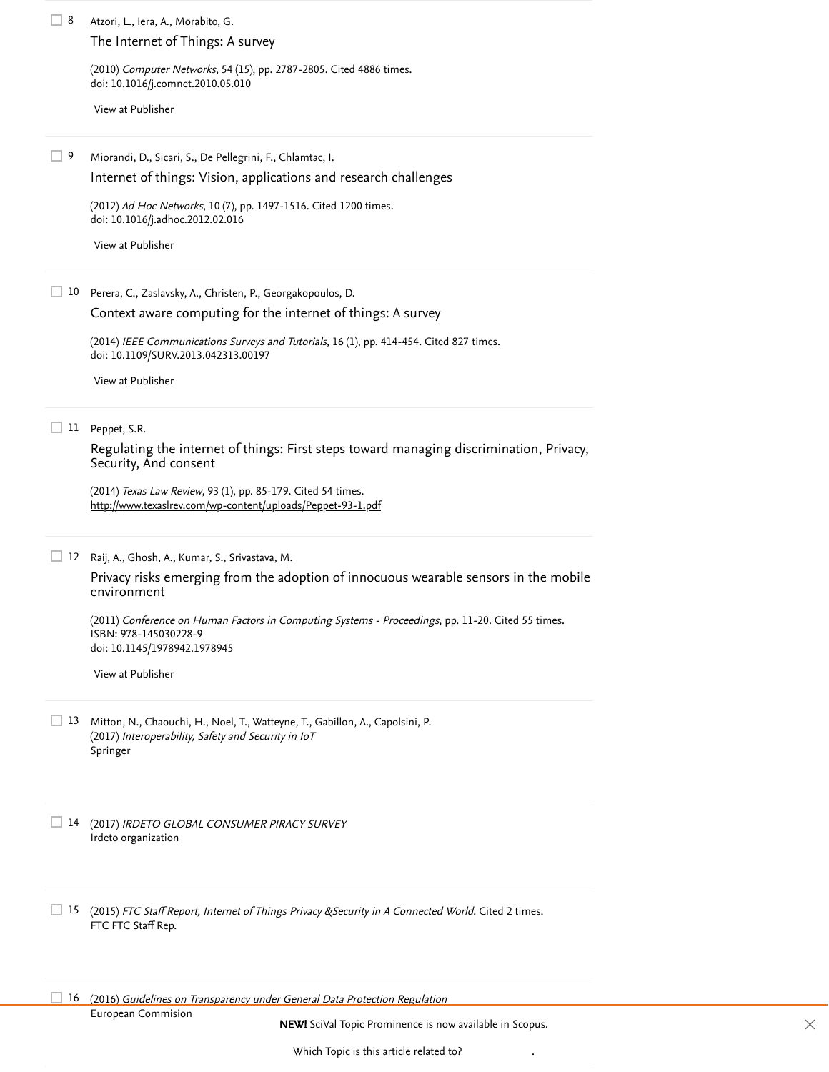Atzori, L., Iera, A., Morabito, G. 8 (2010) *Computer Networks*, 54 (15), pp. 2787-2805. [Cited 4886 times](https://www.scopus.com/search/submit/citedby.uri?eid=2-s2.0-85049900931&refeid=2-s2.0-77956877124&src=s&origin=reflist&refstat=core). doi: 10.1016/j.comnet.2010.05.010 Miorandi, D., Sicari, S., De Pellegrini, F., Chlamtac, I. (2012) Ad Hoc Networks, 10 (7), pp. 1497-1516. [Cited 1200 times](https://www.scopus.com/search/submit/citedby.uri?eid=2-s2.0-85049900931&refeid=2-s2.0-84861997111&src=s&origin=reflist&refstat=core). doi: 10.1016/j.adhoc.2012.02.016 10 Perera, C., Zaslavsky, A., Christen, P., Georgakopoulos, D. (2014) *IEEE Communications Surveys and Tutorials*, 16 (1), pp. 414-454. [Cited 827 times](https://www.scopus.com/search/submit/citedby.uri?eid=2-s2.0-85049900931&refeid=2-s2.0-84894668409&src=s&origin=reflist&refstat=core). doi: 10.1109/SURV.2013.042313.00197 11 Peppet, S.R. (2014) *Texas Law Review*, 93 (1), pp. 85-179. [Cited 54 times](https://www.scopus.com/search/submit/citedby.uri?eid=2-s2.0-85049900931&refeid=2-s2.0-84911872030&src=s&origin=reflist&refstat=core). 12 Raij, A., Ghosh, A., Kumar, S., Srivastava, M. (2011) *Conference on Human Factors in Computing Systems - Proceedings*, pp. 11-20. [Cited 55 times](https://www.scopus.com/search/submit/citedby.uri?eid=2-s2.0-85049900931&refeid=2-s2.0-79958120360&src=s&origin=reflist&refstat=core). ISBN: 978-145030228-9 doi: 10.1145/1978942.1978945 13 Mitton, N., Chaouchi, H., Noel, T., Watteyne, T., Gabillon, A., Capolsini, P. (2017) Interoperability, Safety and Security in IoT Springer 14 (2017) IRDETO GLOBAL CONSUMER PIRACY SURVEY Irdeto organization 15 (2015) *FTC Staff Report, Internet of Things Privacy & Security in A Connected World*. [Cited 2 times](https://www.scopus.com/search/submit/citedby.uri?eid=2-s2.0-85049900931&refeid=2-s2.0-84966598961&src=s&origin=reflist&refstat=dummy).<br>FTC FTC Staff Rep.<br>16 (2016) *Guidelines on Transparency under General Data Protection Regulation* FTC FTC Staff Rep. <sup>16</sup> (2016) Guidelines on Transparency under General Data Protection Regulation [The Internet of Things: A survey](https://www.scopus.com/record/display.uri?eid=2-s2.0-77956877124&origin=reflist&sort=plf-f&src=s&st1=The+future+of+data+privacy+and+security+concerns+in+Internet+of+Things&st2=&sid=70b8b83896b740b7c0cb3caf6dfe3a1d&sot=b&sdt=b&sl=77&s=TITLE%28The+future+of+data+privacy+and+security+concerns+in+Internet+of+Things%29&recordRank=) [View at Publisher](https://www.scopus.com/redirect/linking.uri?targetURL=https%3a%2f%2fdoi.org%2f10.1016%2fj.comnet.2010.05.010&locationID=3&categoryID=4&eid=2-s2.0-77956877124&issn=13891286&linkType=ViewAtPublisher&year=2010&origin=reflist&dig=06f7092bbbbb3a2e00da9b2b1b31d1dc&recordRank=) 9 [Internet of things: Vision, applications and research challenges](https://www.scopus.com/record/display.uri?eid=2-s2.0-84861997111&origin=reflist&sort=plf-f&src=s&st1=The+future+of+data+privacy+and+security+concerns+in+Internet+of+Things&st2=&sid=70b8b83896b740b7c0cb3caf6dfe3a1d&sot=b&sdt=b&sl=77&s=TITLE%28The+future+of+data+privacy+and+security+concerns+in+Internet+of+Things%29&recordRank=) [View at Publisher](https://www.scopus.com/redirect/linking.uri?targetURL=https%3a%2f%2fdoi.org%2f10.1016%2fj.adhoc.2012.02.016&locationID=3&categoryID=4&eid=2-s2.0-84861997111&issn=15708705&linkType=ViewAtPublisher&year=2012&origin=reflist&dig=058b3d7d13b71f04452a39224dc7a8f7&recordRank=) [Context aware computing for the internet of things: A survey](https://www.scopus.com/record/display.uri?eid=2-s2.0-84894668409&origin=reflist&sort=plf-f&src=s&st1=The+future+of+data+privacy+and+security+concerns+in+Internet+of+Things&st2=&sid=70b8b83896b740b7c0cb3caf6dfe3a1d&sot=b&sdt=b&sl=77&s=TITLE%28The+future+of+data+privacy+and+security+concerns+in+Internet+of+Things%29&recordRank=) [View at Publisher](https://www.scopus.com/redirect/linking.uri?targetURL=https%3a%2f%2fdoi.org%2f10.1109%2fSURV.2013.042313.00197&locationID=3&categoryID=4&eid=2-s2.0-84894668409&issn=1553877X&linkType=ViewAtPublisher&year=2014&origin=reflist&dig=d986ef551bc9bf1d44dce0d6f271e65a&recordRank=) [Regulating the internet of things: First steps toward managing](https://www.scopus.com/record/display.uri?eid=2-s2.0-84911872030&origin=reflist&sort=plf-f&src=s&st1=The+future+of+data+privacy+and+security+concerns+in+Internet+of+Things&st2=&sid=70b8b83896b740b7c0cb3caf6dfe3a1d&sot=b&sdt=b&sl=77&s=TITLE%28The+future+of+data+privacy+and+security+concerns+in+Internet+of+Things%29&recordRank=) discrimination, Privacy, Security, And consent <http://www.texaslrev.com/wp-content/uploads/Peppet-93-1.pdf> [Privacy risks emerging from the adoption of innocuous wearable sensors in the mobile](https://www.scopus.com/record/display.uri?eid=2-s2.0-79958120360&origin=reflist&sort=plf-f&src=s&st1=The+future+of+data+privacy+and+security+concerns+in+Internet+of+Things&st2=&sid=70b8b83896b740b7c0cb3caf6dfe3a1d&sot=b&sdt=b&sl=77&s=TITLE%28The+future+of+data+privacy+and+security+concerns+in+Internet+of+Things%29&recordRank=) environment [View at Publisher](https://www.scopus.com/redirect/linking.uri?targetURL=https%3a%2f%2fdoi.org%2f10.1145%2f1978942.1978945&locationID=3&categoryID=4&eid=2-s2.0-79958120360&issn=&linkType=ViewAtPublisher&year=2011&origin=reflist&dig=7d373d7a060a707f4febf8b79e81a3fd&recordRank=)

NEW! SciVal Topic Prominence is now available in Scopus.

European Commision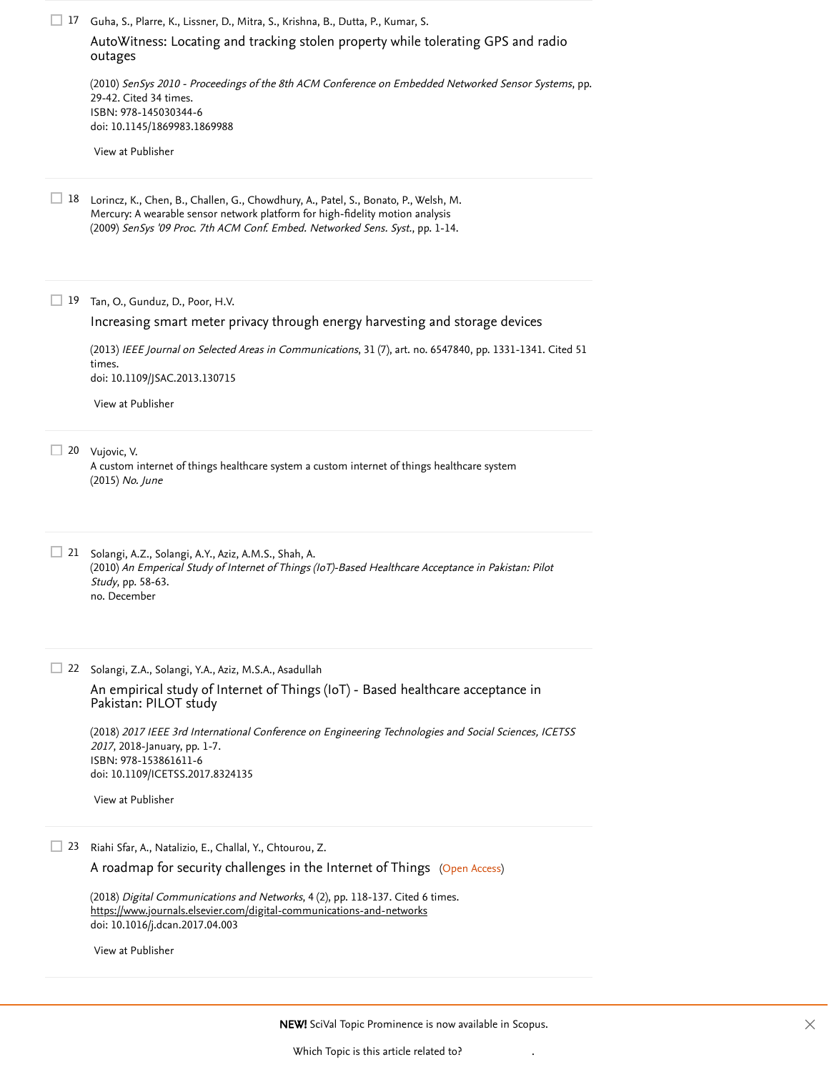Guha, S., Plarre, K., Lissner, D., Mitra, S., Krishna, B., Dutta, P., Kumar, S. 17

[AutoWitness: Locating and tracking stolen property while tolerating GPS and radio](https://www.scopus.com/record/display.uri?eid=2-s2.0-78650856531&origin=reflist&sort=plf-f&src=s&st1=The+future+of+data+privacy+and+security+concerns+in+Internet+of+Things&st2=&sid=70b8b83896b740b7c0cb3caf6dfe3a1d&sot=b&sdt=b&sl=77&s=TITLE%28The+future+of+data+privacy+and+security+concerns+in+Internet+of+Things%29&recordRank=) outages

(2010) SenSys 2010 - Proceedings of the 8th ACM Conference on Embedded Networked Sensor Systems, pp. 29-42. [Cited 34 times](https://www.scopus.com/search/submit/citedby.uri?eid=2-s2.0-85049900931&refeid=2-s2.0-78650856531&src=s&origin=reflist&refstat=core). ISBN: 978-145030344-6 doi: 10.1145/1869983.1869988

[View at Publisher](https://www.scopus.com/redirect/linking.uri?targetURL=https%3a%2f%2fdoi.org%2f10.1145%2f1869983.1869988&locationID=3&categoryID=4&eid=2-s2.0-78650856531&issn=&linkType=ViewAtPublisher&year=2010&origin=reflist&dig=0e5204d7c0fa6f03169ce5a6c7e578f6&recordRank=)

18 Lorincz, K., Chen, B., Challen, G., Chowdhury, A., Patel, S., Bonato, P., Welsh, M. Mercury: A wearable sensor network platform for high-fidelity motion analysis (2009) SenSys '09 Proc. 7th ACM Conf. Embed. Networked Sens. Syst., pp. 1-14.

19 Tan, O., Gunduz, D., Poor, H.V.

#### [Increasing smart meter privacy through energy harvesting and storage devices](https://www.scopus.com/record/display.uri?eid=2-s2.0-84880229460&origin=reflist&sort=plf-f&src=s&st1=The+future+of+data+privacy+and+security+concerns+in+Internet+of+Things&st2=&sid=70b8b83896b740b7c0cb3caf6dfe3a1d&sot=b&sdt=b&sl=77&s=TITLE%28The+future+of+data+privacy+and+security+concerns+in+Internet+of+Things%29&recordRank=)

(2013) *[IEEE Journal on Selected Areas in Communications](https://www.scopus.com/search/submit/citedby.uri?eid=2-s2.0-85049900931&refeid=2-s2.0-84880229460&src=s&origin=reflist&refstat=core)*, 31 (7), art. no. 6547840, pp. 1331-1341. Cited 51 . times doi: 10.1109/JSAC.2013.130715

[View at Publisher](https://www.scopus.com/redirect/linking.uri?targetURL=https%3a%2f%2fdoi.org%2f10.1109%2fJSAC.2013.130715&locationID=3&categoryID=4&eid=2-s2.0-84880229460&issn=07338716&linkType=ViewAtPublisher&year=2013&origin=reflist&dig=583aa11bf208d623640d8734a78ab357&recordRank=)

20 Vujovic, V.

A custom internet of things healthcare system a custom internet of things healthcare system (2015) No. June

21 Solangi, A.Z., Solangi, A.Y., Aziz, A.M.S., Shah, A. (2010) An Emperical Study of Internet of Things (IoT)-Based Healthcare Acceptance in Pakistan: Pilot Study, pp. 58-63. no. December

22 Solangi, Z.A., Solangi, Y.A., Aziz, M.S.A., Asadullah

[An empirical study of Internet of Things \(IoT\) - Based healthcare acceptance in](https://www.scopus.com/record/display.uri?eid=2-s2.0-85049914177&origin=reflist&sort=plf-f&src=s&st1=The+future+of+data+privacy+and+security+concerns+in+Internet+of+Things&st2=&sid=70b8b83896b740b7c0cb3caf6dfe3a1d&sot=b&sdt=b&sl=77&s=TITLE%28The+future+of+data+privacy+and+security+concerns+in+Internet+of+Things%29&recordRank=) Pakistan: PILOT study

(2018) 2017 IEEE 3rd International Conference on Engineering Technologies and Social Sciences, ICETSS <sup>2017</sup>, 2018-January, pp. 1-7. ISBN: 978-153861611-6 doi: 10.1109/ICETSS.2017.8324135

[View at Publisher](https://www.scopus.com/redirect/linking.uri?targetURL=https%3a%2f%2fdoi.org%2f10.1109%2fICETSS.2017.8324135&locationID=3&categoryID=4&eid=2-s2.0-85049914177&issn=&linkType=ViewAtPublisher&year=2018&origin=reflist&dig=7f5448d71d68387a21bcc5a7c00323c7&recordRank=)

Riahi Sfar, A., Natalizio, E., Challal, Y., Chtourou, Z. 23

[A roadmap for security challenges in the Internet of Things](https://www.scopus.com/record/display.uri?eid=2-s2.0-85045068078&origin=reflist&sort=plf-f&src=s&st1=The+future+of+data+privacy+and+security+concerns+in+Internet+of+Things&st2=&sid=70b8b83896b740b7c0cb3caf6dfe3a1d&sot=b&sdt=b&sl=77&s=TITLE%28The+future+of+data+privacy+and+security+concerns+in+Internet+of+Things%29&recordRank=) (Open Access)

(2018) *Digital Communications and Networks*, 4 (2), pp. 118-137. [Cited 6 times](https://www.scopus.com/search/submit/citedby.uri?eid=2-s2.0-85049900931&refeid=2-s2.0-85045068078&src=s&origin=reflist&refstat=core). doi: 10.1016/j.dcan.2017.04.003 <https://www.journals.elsevier.com/digital-communications-and-networks>

[View at Publisher](https://www.scopus.com/redirect/linking.uri?targetURL=https%3a%2f%2fdoi.org%2f10.1016%2fj.dcan.2017.04.003&locationID=3&categoryID=4&eid=2-s2.0-85045068078&issn=23528648&linkType=ViewAtPublisher&year=2018&origin=reflist&dig=f50192f25bb4a9a159e79dfcffd09610&recordRank=)